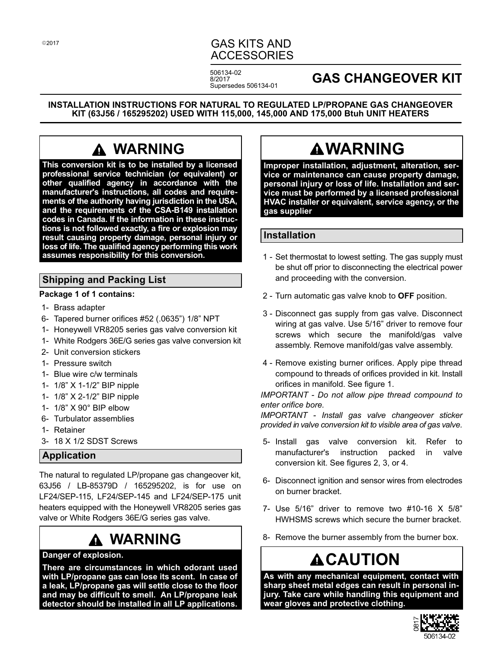## GAS KITS AND ACCESSORIES

506134-02 8/2017 Supersedes 506134-01

## **GAS CHANGEOVER KIT**

**INSTALLATION INSTRUCTIONS FOR NATURAL TO REGULATED LP/PROPANE GAS CHANGEOVER KIT (63J56 / 165295202) USED WITH 115,000, 145,000 AND 175,000 Btuh UNIT HEATERS**

# **WARNING**

**This conversion kit is to be installed by a licensed professional service technician (or equivalent) or other qualified agency in accordance with the manufacturer's instructions, all codes and requirements of the authority having jurisdiction in the USA, and the requirements of the CSA-B149 installation codes in Canada. If the information in these instructions is not followed exactly, a fire or explosion may result causing property damage, personal injury or loss of life. The qualified agency performing this work assumes responsibility for this conversion.**

## **Shipping and Packing List**

#### **Package 1 of 1 contains:**

- 1- Brass adapter
- 6- Tapered burner orifices #52 (.0635") 1/8" NPT
- 1- Honeywell VR8205 series gas valve conversion kit
- 1- White Rodgers 36E/G series gas valve conversion kit
- 2- Unit conversion stickers
- 1- Pressure switch
- 1- Blue wire c/w terminals
- 1- 1/8" X 1‐1/2" BIP nipple
- 1- 1/8" X 2‐1/2" BIP nipple
- 1- 1/8" X 90° BIP elbow
- 6- Turbulator assemblies
- 1- Retainer
- 3- 18 X 1/2 SDST Screws

## **Application**

The natural to regulated LP/propane gas changeover kit, 63J56 / LB-85379D / 165295202, is for use on LF24/SEP‐115, LF24/SEP‐145 and LF24/SEP‐175 unit heaters equipped with the Honeywell VR8205 series gas valve or White Rodgers 36E/G series gas valve.

# **WARNING**

#### **Danger of explosion.**

**There are circumstances in which odorant used with LP/propane gas can lose its scent. In case of a leak, LP/propane gas will settle close to the floor and may be difficult to smell. An LP/propane leak detector should be installed in all LP applications.**

# **WARNING**

**Improper installation, adjustment, alteration, service or maintenance can cause property damage, personal injury or loss of life. Installation and service must be performed by a licensed professional HVAC installer or equivalent, service agency, or the gas supplier**

#### **Installation**

- 1 Set thermostat to lowest setting. The gas supply must be shut off prior to disconnecting the electrical power and proceeding with the conversion.
- 2 Turn automatic gas valve knob to **OFF** position.
- 3 Disconnect gas supply from gas valve. Disconnect wiring at gas valve. Use 5/16" driver to remove four screws which secure the manifold/gas valve assembly. Remove manifold/gas valve assembly.
- 4 Remove existing burner orifices. Apply pipe thread compound to threads of orifices provided in kit. Install orifices in manifold. See figure [1](#page-1-0).

*IMPORTANT - Do not allow pipe thread compound to enter orifice bore.*

*IMPORTANT - Install gas valve changeover sticker provided in valve conversion kit to visible area of gas valve.*

- 5- Install gas valve conversion kit. Refer to manufacturer's instruction packed in valve conversion kit. See figures [2](#page-1-0), [3,](#page-1-0) or [4](#page-1-0).
- 6- Disconnect ignition and sensor wires from electrodes on burner bracket.
- 7- Use 5/16" driver to remove two #10-16 X 5/8" HWHSMS screws which secure the burner bracket.
- 8- Remove the burner assembly from the burner box.

# **ACAUTION**

**As with any mechanical equipment, contact with sharp sheet metal edges can result in personal injury. Take care while handling this equipment and wear gloves and protective clothing.**

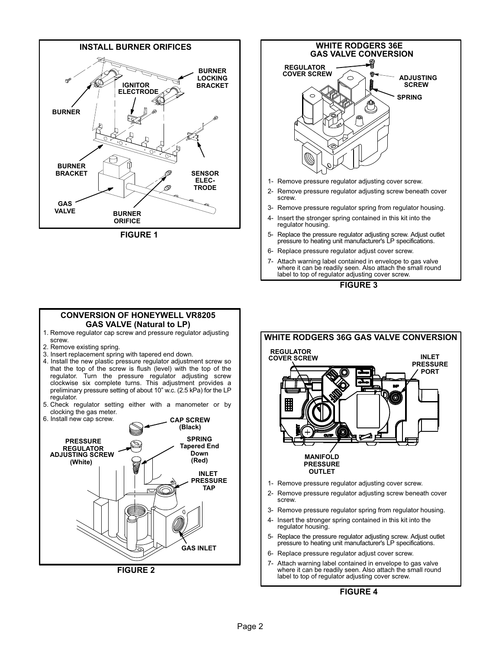<span id="page-1-0"></span>





- 5- Replace the pressure regulator adjusting screw. Adjust outlet pressure to heating unit manufacturer's LP specifications.
- 6- Replace pressure regulator adjust cover screw.
- 7- Attach warning label contained in envelope to gas valve where it can be readily seen. Also attach the small round label to top of regulator adjusting cover screw.



## **WHITE RODGERS 36G GAS VALVE CONVERSION REGULATOR INLET COVER SCREWPRESSURE PORT** ۵ **MANIFOLD PRESSURE OUTLET** 1- Remove pressure regulator adjusting cover screw.

- 2- Remove pressure regulator adjusting screw beneath cover screw.
- 3- Remove pressure regulator spring from regulator housing. 4- Insert the stronger spring contained in this kit into the
- regulator housing. 5- Replace the pressure regulator adjusting screw. Adjust outlet pressure to heating unit manufacturer's LP specifications.
- 6- Replace pressure regulator adjust cover screw.
- 7- Attach warning label contained in envelope to gas valve where it can be readily seen. Also attach the small round label to top of regulator adjusting cover screw.

#### **FIGURE 4**

#### **CONVERSION OF HONEYWELL VR8205 GAS VALVE (Natural to LP)**

- 1. Remove regulator cap screw and pressure regulator adjusting screw.
- 2. Remove existing spring.
- 3. Insert replacement spring with tapered end down.
- 4. Install the new plastic pressure regulator adjustment screw so that the top of the screw is flush (level) with the top of the regulator. Turn the pressure regulator adjusting screw clockwise six complete turns. This adjustment provides a preliminary pressure setting of about 10" w.c. (2.5 kPa) for the LP regulator.
- 5. Check regulator setting either with a manometer or by clocking the gas meter.

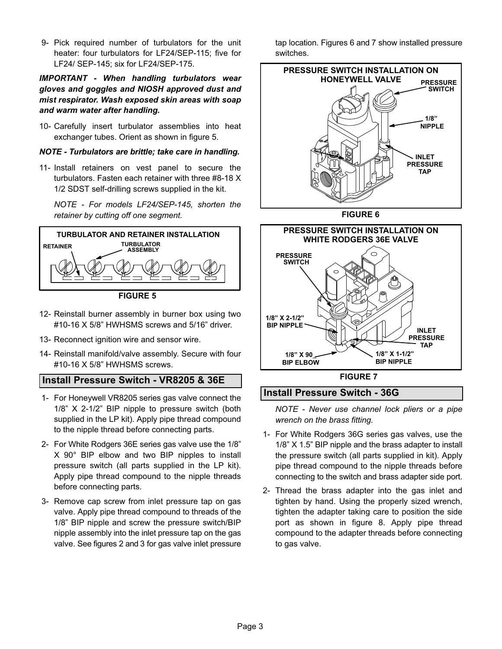9- Pick required number of turbulators for the unit heater: four turbulators for LF24/SEP-115; five for LF24/ SEP-145; six for LF24/SEP-175.

*IMPORTANT - When handling turbulators wear gloves and goggles and NIOSH approved dust and mist respirator. Wash exposed skin areas with soap and warm water after handling.*

10- Carefully insert turbulator assemblies into heat exchanger tubes. Orient as shown in figure 5.

#### *NOTE - Turbulators are brittle; take care in handling.*

11- Install retainers on vest panel to secure the turbulators. Fasten each retainer with three #8-18 X 1/2 SDST self-drilling screws supplied in the kit.

*NOTE - For models LF24/SEP-145, shorten the retainer by cutting off one segment.*



**FIGURE 5**

- 12- Reinstall burner assembly in burner box using two #10-16 X 5/8" HWHSMS screws and 5/16" driver.
- 13- Reconnect ignition wire and sensor wire.
- 14- Reinstall manifold/valve assembly. Secure with four #10-16 X 5/8" HWHSMS screws.

#### **Install Pressure Switch - VR8205 & 36E**

- 1- For Honeywell VR8205 series gas valve connect the 1/8" X 2-1/2" BIP nipple to pressure switch (both supplied in the LP kit). Apply pipe thread compound to the nipple thread before connecting parts.
- 2- For White Rodgers 36E series gas valve use the 1/8" X 90° BIP elbow and two BIP nipples to install pressure switch (all parts supplied in the LP kit). Apply pipe thread compound to the nipple threads before connecting parts.
- 3- Remove cap screw from inlet pressure tap on gas valve. Apply pipe thread compound to threads of the 1/8" BIP nipple and screw the pressure switch/BIP nipple assembly into the inlet pressure tap on the gas valve. See figures [2](#page-1-0) and [3](#page-1-0) for gas valve inlet pressure

tap location. Figures 6 and 7 show installed pressure switches.





#### **Install Pressure Switch - 36G**

*NOTE - Never use channel lock pliers or a pipe wrench on the brass fitting.*

- 1- For White Rodgers 36G series gas valves, use the 1/8" X 1.5" BIP nipple and the brass adapter to install the pressure switch (all parts supplied in kit). Apply pipe thread compound to the nipple threads before connecting to the switch and brass adapter side port.
- 2- Thread the brass adapter into the gas inlet and tighten by hand. Using the properly sized wrench, tighten the adapter taking care to position the side port as shown in figure [8](#page-3-0). Apply pipe thread compound to the adapter threads before connecting to gas valve.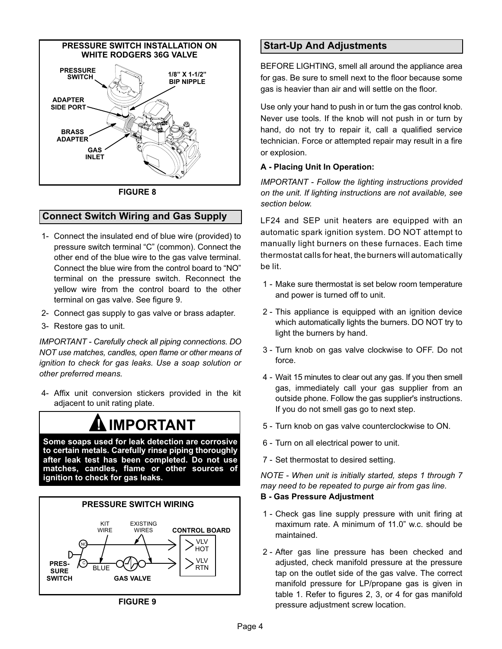<span id="page-3-0"></span>

**FIGURE 8**

#### **Connect Switch Wiring and Gas Supply**

- 1- Connect the insulated end of blue wire (provided) to pressure switch terminal "C" (common). Connect the other end of the blue wire to the gas valve terminal. Connect the blue wire from the control board to "NO" terminal on the pressure switch. Reconnect the yellow wire from the control board to the other terminal on gas valve. See figure 9.
- 2- Connect gas supply to gas valve or brass adapter.
- 3- Restore gas to unit.

*IMPORTANT - Carefully check all piping connections. DO NOT use matches, candles, open flame or other means of ignition to check for gas leaks. Use a soap solution or other preferred means.*

 4- Affix unit conversion stickers provided in the kit adjacent to unit rating plate.

# **! IMPORTANT**

**Some soaps used for leak detection are corrosive to certain metals. Carefully rinse piping thoroughly after leak test has been completed. Do not use matches, candles, flame or other sources of ignition to check for gas leaks.**



**FIGURE 9**

## **Start-Up And Adjustments**

BEFORE LIGHTING, smell all around the appliance area for gas. Be sure to smell next to the floor because some gas is heavier than air and will settle on the floor.

Use only your hand to push in or turn the gas control knob. Never use tools. If the knob will not push in or turn by hand, do not try to repair it, call a qualified service technician. Force or attempted repair may result in a fire or explosion.

#### **A - Placing Unit In Operation:**

*IMPORTANT - Follow the lighting instructions provided on the unit. If lighting instructions are not available, see section below.*

LF24 and SEP unit heaters are equipped with an automatic spark ignition system. DO NOT attempt to manually light burners on these furnaces. Each time thermostat calls for heat, the burners will automatically be lit.

- 1 Make sure thermostat is set below room temperature and power is turned off to unit.
- 2 This appliance is equipped with an ignition device which automatically lights the burners. DO NOT try to light the burners by hand.
- 3 Turn knob on gas valve clockwise to OFF. Do not force.
- 4 Wait 15 minutes to clear out any gas. If you then smell gas, immediately call your gas supplier from an outside phone. Follow the gas supplier's instructions. If you do not smell gas go to next step.
- 5 Turn knob on gas valve counterclockwise to ON.
- 6 Turn on all electrical power to unit.
- 7 Set thermostat to desired setting.

*NOTE - When unit is initially started, steps 1 through 7 may need to be repeated to purge air from gas line.* **B - Gas Pressure Adjustment**

- 1 Check gas line supply pressure with unit firing at maximum rate. A minimum of 11.0" w.c. should be maintained.
- 2 After gas line pressure has been checked and adjusted, check manifold pressure at the pressure tap on the outlet side of the gas valve. The correct manifold pressure for LP/propane gas is given in table [1.](#page-4-0) Refer to figures [2,](#page-1-0) [3,](#page-1-0) or [4](#page-1-0) for gas manifold pressure adjustment screw location.